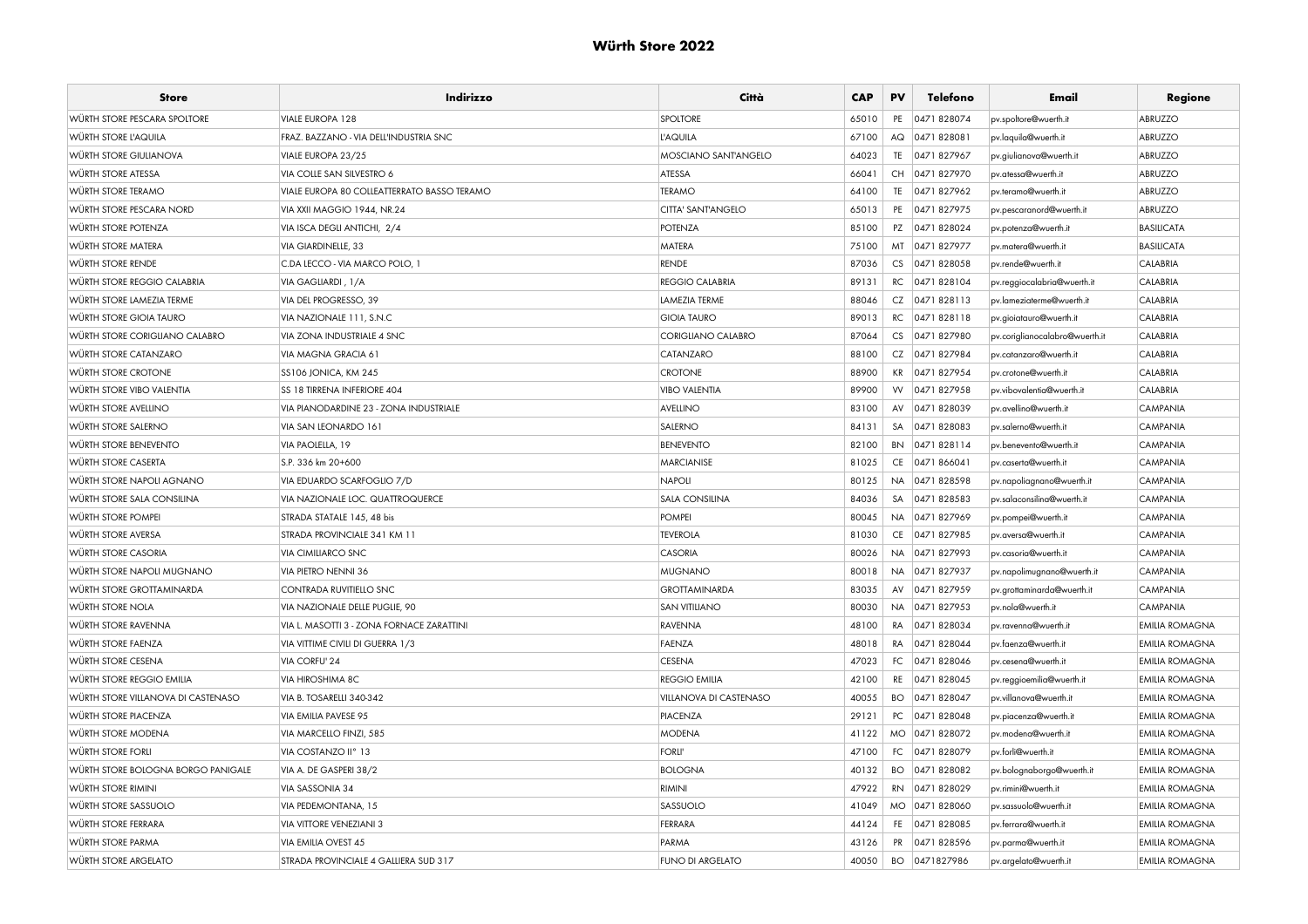| <b>Store</b>                        | Indirizzo                                   | Città                         | <b>CAP</b> | PV        | Telefono       | Email                          | Regione               |
|-------------------------------------|---------------------------------------------|-------------------------------|------------|-----------|----------------|--------------------------------|-----------------------|
| <b>WÜRTH STORE PESCARA SPOLTORE</b> | <b>VIALE EUROPA 128</b>                     | <b>SPOLTORE</b>               | 65010      | PE        | 0471828074     | pv.spoltore@wuerth.it          | ABRUZZO               |
| WÜRTH STORE L'AQUILA                | FRAZ. BAZZANO - VIA DELL'INDUSTRIA SNC      | <b>L'AQUILA</b>               | 67100      | AQ        | 0471828081     | pv.laquila@wuerth.it           | ABRUZZO               |
| <b>WÜRTH STORE GIULIANOVA</b>       | VIALE EUROPA 23/25                          | MOSCIANO SANTANGELO           | 64023      | TE        | 0471827967     | pv.giulianova@wuerth.it        | ABRUZZO               |
| <b>WÜRTH STORE ATESSA</b>           | VIA COLLE SAN SILVESTRO 6                   | <b>ATESSA</b>                 | 66041      |           | CH 0471 827970 | pv.atessa@wuerth.it            | ABRUZZO               |
| WÜRTH STORE TERAMO                  | VIALE EUROPA 80 COLLEATTERRATO BASSO TERAMO | <b>TERAMO</b>                 | 64100      | TE        | 0471 827962    | pv.teramo@wuerth.it            | ABRUZZO               |
| WÜRTH STORE PESCARA NORD            | VIA XXII MAGGIO 1944, NR.24                 | CITTA' SANT'ANGELO            | 65013      | PE        | 0471 827975    | pv.pescaranord@wuerth.it       | ABRUZZO               |
| <b>WÜRTH STORE POTENZA</b>          | VIA ISCA DEGLI ANTICHI, 2/4                 | <b>POTENZA</b>                | 85100      |           | PZ 0471828024  | pv.potenza@wuerth.it           | <b>BASILICATA</b>     |
| WÜRTH STORE MATERA                  | <b>VIA GIARDINELLE, 33</b>                  | <b>MATERA</b>                 | 75100      |           | MT 0471827977  | pv.matera@wuerth.it            | <b>BASILICATA</b>     |
| WÜRTH STORE RENDE                   | C.DA LECCO - VIA MARCO POLO, 1              | <b>RENDE</b>                  | 87036      | CS        | 0471828058     | pv.rende@wuerth.it             | CALABRIA              |
| WÜRTH STORE REGGIO CALABRIA         | VIA GAGLIARDI, 1/A                          | <b>REGGIO CALABRIA</b>        | 89131      | RC        | 0471828104     | pv.reggiocalabria@wuerth.it    | CALABRIA              |
| WÜRTH STORE LAMEZIA TERME           | VIA DEL PROGRESSO, 39                       | LAMEZIA TERME                 | 88046      |           | CZ 0471828113  | pv.lameziaterme@wuerth.it      | CALABRIA              |
| <b>WÜRTH STORE GIOIA TAURO</b>      | VIA NAZIONALE 111, S.N.C                    | <b>GIOIA TAURO</b>            | 89013      | RC        | 0471828118     | pv.gioiatauro@wuerth.it        | CALABRIA              |
| WÜRTH STORE CORIGLIANO CALABRO      | VIA ZONA INDUSTRIALE 4 SNC                  | CORIGLIANO CALABRO            | 87064      | CS        | 0471 827980    | pv.coriglianocalabro@wuerth.it | CALABRIA              |
| <b>WÜRTH STORE CATANZARO</b>        | VIA MAGNA GRACIA 61                         | CATANZARO                     | 88100      | CZ        | 0471827984     | pv.catanzaro@wuerth.it         | CALABRIA              |
| WÜRTH STORE CROTONE                 | SS106 JONICA, KM 245                        | <b>CROTONE</b>                | 88900      |           | KR 0471 827954 | pv.crotone@wuerth.it           | CALABRIA              |
| <b>WÜRTH STORE VIBO VALENTIA</b>    | <b>SS 18 TIRRENA INFERIORE 404</b>          | <b>VIBO VALENTIA</b>          | 89900      | <b>VV</b> | 0471827958     | pv.vibovalentia@wuerth.it      | CALABRIA              |
| WÜRTH STORE AVELLINO                | VIA PIANODARDINE 23 - ZONA INDUSTRIALE      | AVELLINO                      | 83100      | AV        | 0471828039     | by.avellino@wuerth.it          | CAMPANIA              |
| WÜRTH STORE SALERNO                 | VIA SAN LEONARDO 161                        | SALERNO                       | 84131      | SA        | 0471828083     | by.salerno@wuerth.it           | <b>CAMPANIA</b>       |
| WÜRTH STORE BENEVENTO               | VIA PAOLELLA, 19                            | <b>BENEVENTO</b>              | 82100      |           | BN 0471828114  | pv.benevento@wuerth.it         | <b>CAMPANIA</b>       |
| <b>WÜRTH STORE CASERTA</b>          | S.P. 336 km 20+600                          | <b>MARCIANISE</b>             | 81025      | CE        | 0471866041     | pv.caserta@wuerth.it           | <b>CAMPANIA</b>       |
| WÜRTH STORE NAPOLI AGNANO           | VIA EDUARDO SCARFOGLIO 7/D                  | <b>NAPOLI</b>                 | 80125      | <b>NA</b> | 0471828598     | pv.napoliagnano@wuerth.it      | CAMPANIA              |
| WÜRTH STORE SALA CONSILINA          | VIA NAZIONALE LOC. QUATTROQUERCE            | <b>SALA CONSILINA</b>         | 84036      | SA        | 0471828583     | pv.salaconsilina@wuerth.it     | <b>CAMPANIA</b>       |
| WÜRTH STORE POMPEI                  | STRADA STATALE 145, 48 bis                  | <b>POMPEI</b>                 | 80045      |           | NA 0471827969  | pv.pompei@wuerth.it            | CAMPANIA              |
| WÜRTH STORE AVERSA                  | STRADA PROVINCIALE 341 KM 11                | <b>TEVEROLA</b>               | 81030      |           | CE 0471 827985 | pv.aversa@wuerth.it            | <b>CAMPANIA</b>       |
| WÜRTH STORE CASORIA                 | <b>VIA CIMILIARCO SNC</b>                   | <b>CASORIA</b>                | 80026      |           | NA 0471827993  | pv.casoria@wuerth.it           | <b>CAMPANIA</b>       |
| WÜRTH STORE NAPOLI MUGNANO          | VIA PIETRO NENNI 36                         | <b>MUGNANO</b>                | 80018      |           | NA 0471 827937 | pv.napolimugnano@wuerth.it     | CAMPANIA              |
| WÜRTH STORE GROTTAMINARDA           | <b>CONTRADA RUVITIELLO SNC</b>              | <b>GROTTAMINARDA</b>          | 83035      | AV        | 0471 827959    | pv.grottaminarda@wuerth.it     | <b>CAMPANIA</b>       |
| WÜRTH STORE NOLA                    | VIA NAZIONALE DELLE PUGLIE, 90              | <b>SAN VITILIANO</b>          | 80030      | <b>NA</b> | 0471827953     | pv.nola@wuerth.it              | <b>CAMPANIA</b>       |
| <b>WÜRTH STORE RAVENNA</b>          | VIA L. MASOTTI 3 - ZONA FORNACE ZARATTINI   | RAVENNA                       | 48100      | RA        | 0471 828034    | pv.ravenna@wuerth.it           | <b>EMILIA ROMAGNA</b> |
| <b>WÜRTH STORE FAENZA</b>           | VIA VITTIME CIVILI DI GUERRA 1/3            | FAENZA                        | 48018      | RA        | 0471828044     | pv.faenza@wuerth.it            | <b>EMILIA ROMAGNA</b> |
| <b>WÜRTH STORE CESENA</b>           | VIA CORFU' 24                               | <b>CESENA</b>                 | 47023      | FC        | 0471828046     | pv.cesena@wuerth.it            | <b>EMILIA ROMAGNA</b> |
| WÜRTH STORE REGGIO EMILIA           | VIA HIROSHIMA 8C                            | <b>REGGIO EMILIA</b>          | 42100      | RE        | 0471 828045    | pv.reggioemilia@wuerth.it      | <b>EMILIA ROMAGNA</b> |
| WÜRTH STORE VILLANOVA DI CASTENASO  | VIA B. TOSARELLI 340-342                    | <b>VILLANOVA DI CASTENASO</b> | 40055      | BO.       | 0471828047     | pv.villanova@wuerth.it         | <b>EMILIA ROMAGNA</b> |
| <b>WÜRTH STORE PIACENZA</b>         | VIA EMILIA PAVESE 95                        | PIACENZA                      | 29121      | PC        | 0471 828048    | pv.piacenza@wuerth.it          | <b>EMILIA ROMAGNA</b> |
| WÜRTH STORE MODENA                  | VIA MARCELLO FINZI, 585                     | <b>MODENA</b>                 | 41122      | <b>MO</b> | 0471828072     | pv.modena@wuerth.it            | <b>EMILIA ROMAGNA</b> |
| WÜRTH STORE FORLI                   | VIA COSTANZO II <sup>°</sup> 13             | <b>FORLI'</b>                 | 47100      | FC        | 0471828079     | pv.forli@wuerth.it             | <b>EMILIA ROMAGNA</b> |
| WÜRTH STORE BOLOGNA BORGO PANIGALE  | VIA A. DE GASPERI 38/2                      | <b>BOLOGNA</b>                | 40132      | <b>BO</b> | 0471828082     | pv.bolognaborgo@wuerth.it      | EMILIA ROMAGNA        |
| WÜRTH STORE RIMINI                  | VIA SASSONIA 34                             | <b>RIMINI</b>                 | 47922      | <b>RN</b> | 0471828029     | pv.rimini@wuerth.it            | <b>EMILIA ROMAGNA</b> |
| WÜRTH STORE SASSUOLO                | VIA PEDEMONTANA, 15                         | SASSUOLO                      | 41049      |           | MO 0471 828060 | pv.sassuolo@wuerth.it          | <b>EMILIA ROMAGNA</b> |
| <b>WÜRTH STORE FERRARA</b>          | <b>VIA VITTORE VENEZIANI 3</b>              | FERRARA                       | 44124      | FE.       | 0471 828085    | pv.ferrara@wuerth.it           | <b>EMILIA ROMAGNA</b> |
| WÜRTH STORE PARMA                   | VIA EMILIA OVEST 45                         | PARMA                         | 43126      | <b>PR</b> | 0471 828596    | pv.parma@wuerth.it             | <b>EMILIA ROMAGNA</b> |
| WÜRTH STORE ARGELATO                | STRADA PROVINCIALE 4 GALLIERA SUD 317       | <b>FUNO DI ARGELATO</b>       | 40050      | <b>BO</b> | 0471827986     | pv.argelato@wuerth.it          | <b>EMILIA ROMAGNA</b> |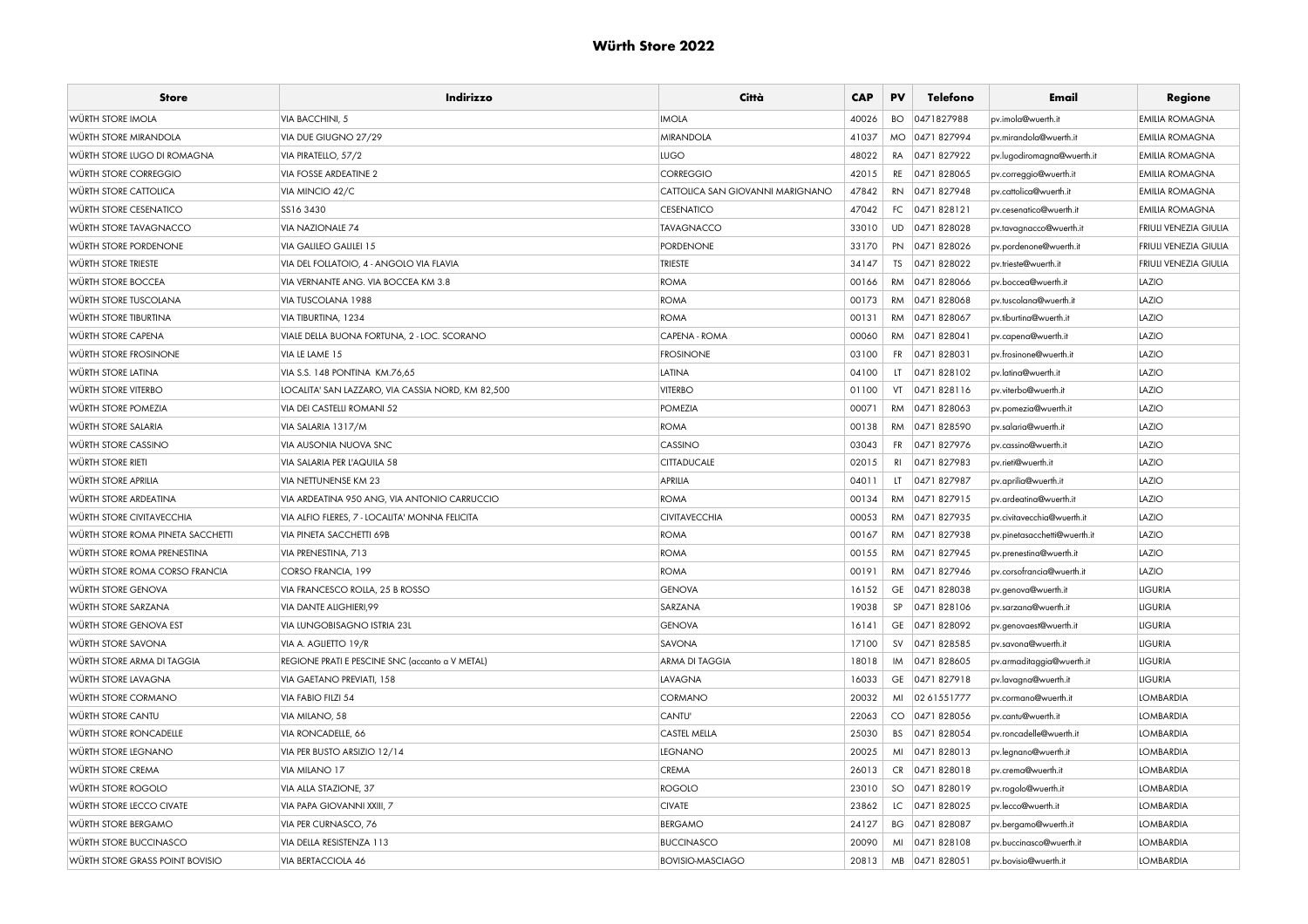| <b>Store</b>                           | Indirizzo                                         | Città                            | <b>CAP</b> | PV        | Telefono       | Email                        | Regione                      |
|----------------------------------------|---------------------------------------------------|----------------------------------|------------|-----------|----------------|------------------------------|------------------------------|
| WÜRTH STORE IMOLA                      | <b>VIA BACCHINI, 5</b>                            | <b>IMOLA</b>                     | 40026      | BO.       | 0471827988     | pv.imola@wuerth.it           | <b>EMILIA ROMAGNA</b>        |
| <b>WÜRTH STORE MIRANDOLA</b>           | VIA DUE GIUGNO 27/29                              | <b>MIRANDOLA</b>                 | 41037      |           | MO 0471 827994 | pv.mirandola@wuerth.it       | <b>EMILIA ROMAGNA</b>        |
| WÜRTH STORE LUGO DI ROMAGNA            | VIA PIRATELLO, 57/2                               | <b>LUGO</b>                      | 48022      | RA        | 0471827922     | pv.lugodiromagna@wuerth.it   | <b>EMILIA ROMAGNA</b>        |
| WÜRTH STORE CORREGGIO                  | <b>VIA FOSSE ARDEATINE 2</b>                      | CORREGGIO                        | 42015      |           | RE 0471 828065 | pv.correggio@wuerth.it       | <b>EMILIA ROMAGNA</b>        |
| WÜRTH STORE CATTOLICA                  | VIA MINCIO 42/C                                   | CATTOLICA SAN GIOVANNI MARIGNANO | 47842      | RN        | 0471827948     | pv.cattolica@wuerth.it       | <b>EMILIA ROMAGNA</b>        |
| WÜRTH STORE CESENATICO                 | SS16 3430                                         | <b>CESENATICO</b>                | 47042      | FC        | 0471828121     | pv.cesenatico@wuerth.it      | <b>EMILIA ROMAGNA</b>        |
| WÜRTH STORE TAVAGNACCO                 | <b>VIA NAZIONALE 74</b>                           | <b>TAVAGNACCO</b>                | 33010      |           | UD 0471 828028 | pv.tavagnacco@wuerth.it      | <b>FRIULI VENEZIA GIULIA</b> |
| WÜRTH STORE PORDENONE                  | VIA GALILEO GALILEI 15                            | <b>PORDENONE</b>                 | 33170      |           | PN 0471828026  | pv.pordenone@wuerth.it       | FRIULI VENEZIA GIULIA        |
| WÜRTH STORE TRIESTE                    | VIA DEL FOLLATOIO, 4 - ANGOLO VIA FLAVIA          | <b>TRIESTE</b>                   | 34147      | <b>TS</b> | 0471828022     | pv.trieste@wuerth.it         | <b>FRIULI VENEZIA GIULIA</b> |
| <b>WÜRTH STORE BOCCEA</b>              | VIA VERNANTE ANG. VIA BOCCEA KM 3.8               | <b>ROMA</b>                      | 00166      |           | RM 0471 828066 | pv.boccea@wuerth.it          | LAZIO                        |
| <b>WÜRTH STORE TUSCOLANA</b>           | VIA TUSCOLANA 1988                                | <b>ROMA</b>                      | 00173      |           | RM 0471 828068 | pv.tuscolana@wuerth.it       | LAZIO                        |
| <b>WÜRTH STORE TIBURTINA</b>           | VIA TIBURTINA, 1234                               | <b>ROMA</b>                      | 00131      |           | RM 0471828067  | pv.tiburtina@wuerth.it       | LAZIO                        |
| WÜRTH STORE CAPENA                     | VIALE DELLA BUONA FORTUNA, 2 - LOC. SCORANO       | CAPENA - ROMA                    | 00060      |           | RM 0471 828041 | pv.capena@wuerth.it          | LAZIO                        |
| <b>WÜRTH STORE FROSINONE</b>           | VIA LE LAME 15                                    | <b>FROSINONE</b>                 | 03100      | FR        | 0471828031     | pv.frosinone@wuerth.it       | LAZIO                        |
| <b>WÜRTH STORE LATINA</b>              | VIA S.S. 148 PONTINA KM.76,65                     | <b>LATINA</b>                    | 04100      | LT.       | 0471828102     | pv.latina@wuerth.it          | LAZIO                        |
| WÜRTH STORE VITERBO                    | LOCALITA' SAN LAZZARO, VIA CASSIA NORD, KM 82,500 | <b>VITERBO</b>                   | 01100      |           | VT 0471 828116 | pv.viterbo@wuerth.it         | LAZIO                        |
| WÜRTH STORE POMEZIA                    | VIA DEI CASTELLI ROMANI 52                        | <b>POMEZIA</b>                   | 00071      |           | RM 0471828063  | pv.pomezia@wuerth.it         | LAZIO                        |
| WÜRTH STORE SALARIA                    | VIA SALARIA 1317/M                                | <b>ROMA</b>                      | 00138      |           | RM 0471 828590 | pv.salaria@wuerth.it         | LAZIO                        |
| WÜRTH STORE CASSINO                    | VIA AUSONIA NUOVA SNC                             | CASSINO                          | 03043      |           | FR 0471 827976 | pv.cassino@wuerth.it         | LAZIO                        |
| WÜRTH STORE RIETI                      | VIA SALARIA PER L'AQUILA 58                       | <b>CITTADUCALE</b>               | 02015      | RI        | 0471 827983    | pv.rieti@wuerth.it           | LAZIO                        |
| <b>WÜRTH STORE APRILIA</b>             | VIA NETTUNENSE KM 23                              | <b>APRILIA</b>                   | 04011      | LT        | 0471 827987    | pv.aprilia@wuerth.it         | LAZIO                        |
| WÜRTH STORE ARDEATINA                  | VIA ARDEATINA 950 ANG, VIA ANTONIO CARRUCCIO      | <b>ROMA</b>                      | 00134      |           | RM 0471827915  | pv.ardeatina@wuerth.it       | LAZIO                        |
| <b>WÜRTH STORE CIVITAVECCHIA</b>       | VIA ALFIO FLERES, 7 - LOCALITA' MONNA FELICITA    | <b>CIVITAVECCHIA</b>             | 00053      |           | RM 0471 827935 | pv.civitavecchia@wuerth.it   | LAZIO                        |
| WÜRTH STORE ROMA PINETA SACCHETTI      | VIA PINETA SACCHETTI 69B                          | <b>ROMA</b>                      | 00167      |           | RM 0471 827938 | pv.pinetasacchetti@wuerth.it | LAZIO                        |
| WÜRTH STORE ROMA PRENESTINA            | VIA PRENESTINA, 713                               | <b>ROMA</b>                      | 00155      |           | RM 0471 827945 | pv.prenestina@wuerth.it      | LAZIO                        |
| WÜRTH STORE ROMA CORSO FRANCIA         | CORSO FRANCIA, 199                                | <b>ROMA</b>                      | 00191      |           | RM 0471 827946 | pv.corsofrancia@wuerth.it    | LAZIO                        |
| <b>WÜRTH STORE GENOVA</b>              | VIA FRANCESCO ROLLA, 25 B ROSSO                   | <b>GENOVA</b>                    | 16152      |           | GE 0471 828038 | pv.genova@wuerth.it          | <b>LIGURIA</b>               |
| WÜRTH STORE SARZANA                    | <b>VIA DANTE ALIGHIERI.99</b>                     | SARZANA                          | 19038      | SP        | 0471828106     | pv.sarzana@wuerth.it         | <b>LIGURIA</b>               |
| WÜRTH STORE GENOVA EST                 | <b>VIA LUNGOBISAGNO ISTRIA 23L</b>                | <b>GENOVA</b>                    | 16141      |           | GE 0471 828092 | pv.genovaest@wuerth.it       | <b>LIGURIA</b>               |
| <b>WÜRTH STORE SAVONA</b>              | VIA A. AGLIETTO 19/R                              | SAVONA                           | 17100      |           | SV 0471 828585 | pv.savona@wuerth.it          | <b>LIGURIA</b>               |
| WÜRTH STORE ARMA DI TAGGIA             | REGIONE PRATI E PESCINE SNC (accanto a V METAL)   | ARMA DI TAGGIA                   | 18018      |           | IM 0471 828605 | pv.armaditaggia@wuerth.it    | <b>LIGURIA</b>               |
| <b>WÜRTH STORE LAVAGNA</b>             | VIA GAETANO PREVIATI, 158                         | <b>LAVAGNA</b>                   | 16033      |           | GE 0471 827918 | pv.lavagna@wuerth.it         | <b>LIGURIA</b>               |
| WÜRTH STORE CORMANO                    | VIA FABIO FILZI 54                                | CORMANO                          | 20032      |           | MI 02 61551777 | pv.cormano@wuerth.it         | <b>LOMBARDIA</b>             |
| WÜRTH STORE CANTU                      | VIA MILANO, 58                                    | CANTU'                           | 22063      |           | CO 0471 828056 | pv.cantu@wuerth.it           | <b>LOMBARDIA</b>             |
| <b>WÜRTH STORE RONCADELLE</b>          | <b>VIA RONCADELLE, 66</b>                         | CASTEL MELLA                     | 25030      | BS        | 0471 828054    | pv.roncadelle@wuerth.it      | <b>LOMBARDIA</b>             |
| WÜRTH STORE LEGNANO                    | VIA PER BUSTO ARSIZIO 12/14                       | <b>LEGNANO</b>                   | 20025      |           | MI 0471 828013 | pv.legnano@wuerth.it         | <b>LOMBARDIA</b>             |
| WÜRTH STORE CREMA                      | <b>VIA MILANO 17</b>                              | <b>CREMA</b>                     | 26013      |           | CR 0471828018  | pv.crema@wuerth.it           | <b>LOMBARDIA</b>             |
| WÜRTH STORE ROGOLO                     | VIA ALLA STAZIONE, 37                             | <b>ROGOLO</b>                    | 23010      | SO        | 0471828019     | pv.rogolo@wuerth.it          | <b>LOMBARDIA</b>             |
| WÜRTH STORE LECCO CIVATE               | VIA PAPA GIOVANNI XXIII, 7                        | <b>CIVATE</b>                    | 23862      |           | LC 0471 828025 | pv.lecco@wuerth.it           | <b>LOMBARDIA</b>             |
| WÜRTH STORE BERGAMO                    | VIA PER CURNASCO, 76                              | <b>BERGAMO</b>                   | 24127      |           | BG 0471 828087 | pv.bergamo@wuerth.it         | <b>LOMBARDIA</b>             |
| <b>WÜRTH STORE BUCCINASCO</b>          | VIA DELLA RESISTENZA 113                          | <b>BUCCINASCO</b>                | 20090      | MI        | 0471828108     | pv.buccinasco@wuerth.it      | <b>LOMBARDIA</b>             |
| <b>WÜRTH STORE GRASS POINT BOVISIO</b> | <b>VIA BERTACCIOLA 46</b>                         | <b>BOVISIO-MASCIAGO</b>          | 20813      |           | MB 0471 828051 | pv.bovisio@wuerth.it         | <b>LOMBARDIA</b>             |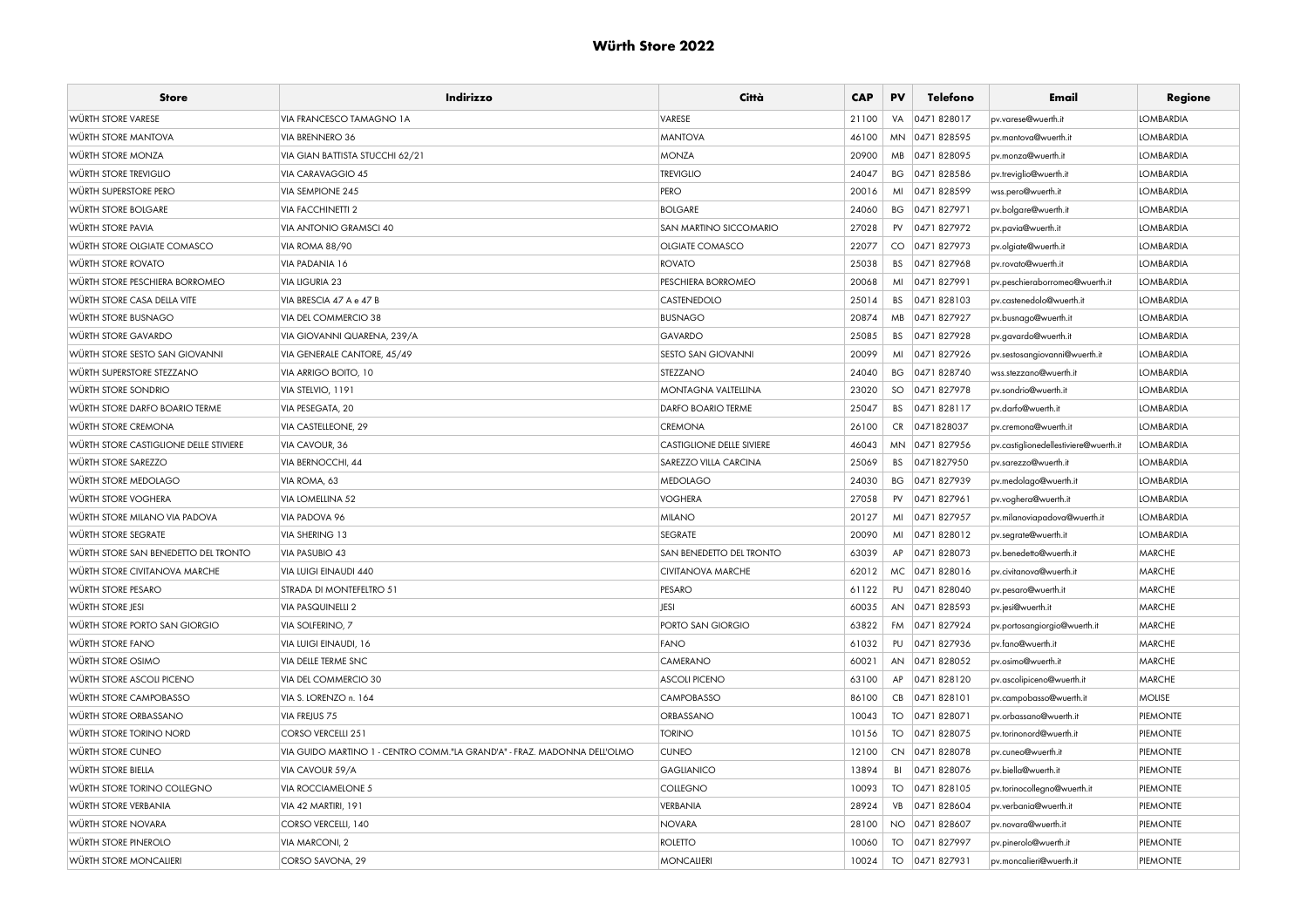| <b>Store</b>                           | Indirizzo                                                                | Città                            | <b>CAP</b> | PV        | Telefono       | Email                                 | Regione          |
|----------------------------------------|--------------------------------------------------------------------------|----------------------------------|------------|-----------|----------------|---------------------------------------|------------------|
| <b>WÜRTH STORE VARESE</b>              | VIA FRANCESCO TAMAGNO 1A                                                 | VARESE                           | 21100      | VA        | 0471828017     | pv.varese@wuerth.it                   | <b>LOMBARDIA</b> |
| <b>WÜRTH STORE MANTOVA</b>             | VIA BRENNERO 36                                                          | <b>MANTOVA</b>                   | 46100      |           | MN 0471 828595 | pv.mantova@wuerth.it                  | <b>LOMBARDIA</b> |
| <b>WÜRTH STORE MONZA</b>               | VIA GIAN BATTISTA STUCCHI 62/21                                          | <b>MONZA</b>                     | 20900      |           | MB 0471828095  | pv.monza@wuerth.it                    | <b>LOMBARDIA</b> |
| WÜRTH STORE TREVIGLIO                  | VIA CARAVAGGIO 45                                                        | <b>TREVIGLIO</b>                 | 24047      |           | BG 0471 828586 | pv.treviglio@wuerth.it                | <b>LOMBARDIA</b> |
| WÜRTH SUPERSTORE PERO                  | <b>VIA SEMPIONE 245</b>                                                  | PERO                             | 20016      | MI        | 0471828599     | wss.pero@wuerth.it                    | <b>LOMBARDIA</b> |
| WÜRTH STORE BOLGARE                    | <b>VIA FACCHINETTI 2</b>                                                 | <b>BOLGARE</b>                   | 24060      | ВG        | 0471827971     | pv.bolgare@wuerth.it                  | <b>LOMBARDIA</b> |
| <b>WÜRTH STORE PAVIA</b>               | <b>VIA ANTONIO GRAMSCI 40</b>                                            | SAN MARTINO SICCOMARIO           | 27028      | PV        | 0471 827972    | pv.pavia@wuerth.it                    | <b>LOMBARDIA</b> |
| WÜRTH STORE OLGIATE COMASCO            | <b>VIA ROMA 88/90</b>                                                    | OLGIATE COMASCO                  | 22077      |           | CO 0471827973  | pv.olgiate@wuerth.it                  | <b>LOMBARDIA</b> |
| <b>WÜRTH STORE ROVATO</b>              | VIA PADANIA 16                                                           | <b>ROVATO</b>                    | 25038      | <b>BS</b> | 0471827968     | pv.rovato@wuerth.it                   | <b>LOMBARDIA</b> |
| WÜRTH STORE PESCHIERA BORROMEO         | <b>VIA LIGURIA 23</b>                                                    | PESCHIERA BORROMEO               | 20068      | MI        | 0471 827991    | pv.peschieraborromeo@wuerth.it        | <b>LOMBARDIA</b> |
| WÜRTH STORE CASA DELLA VITE            | VIA BRESCIA 47 A e 47 B                                                  | CASTENEDOLO                      | 25014      | <b>BS</b> | 0471828103     | pv.castenedolo@wuerth.it              | <b>LOMBARDIA</b> |
| WÜRTH STORE BUSNAGO                    | VIA DEL COMMERCIO 38                                                     | <b>BUSNAGO</b>                   | 20874      | MB        | 0471827927     | pv.busnago@wuerth.it                  | <b>LOMBARDIA</b> |
| <b>WÜRTH STORE GAVARDO</b>             | VIA GIOVANNI QUARENA, 239/A                                              | GAVARDO                          | 25085      | <b>BS</b> | 0471 827928    | pv.gavardo@wuerth.it                  | <b>LOMBARDIA</b> |
| WÜRTH STORE SESTO SAN GIOVANNI         | VIA GENERALE CANTORE, 45/49                                              | <b>SESTO SAN GIOVANNI</b>        | 20099      | MI        | 0471827926     | pv.sestosangiovanni@wuerth.it         | <b>LOMBARDIA</b> |
| WÜRTH SUPERSTORE STEZZANO              | VIA ARRIGO BOITO, 10                                                     | STEZZANO                         | 24040      |           | BG 0471 828740 | wss.stezzano@wuerth.it                | <b>LOMBARDIA</b> |
| <b>WÜRTH STORE SONDRIO</b>             | VIA STELVIO, 1191                                                        | MONTAGNA VALTELLINA              | 23020      | SO        | 0471827978     | by.sondrio@wuerth.it                  | <b>LOMBARDIA</b> |
| <b>WÜRTH STORE DARFO BOARIO TERME</b>  | VIA PESEGATA, 20                                                         | DARFO BOARIO TERME               | 25047      | <b>BS</b> | 0471828117     | pv.darfo@wuerth.it                    | <b>LOMBARDIA</b> |
| WÜRTH STORE CREMONA                    | <b>VIA CASTELLEONE, 29</b>                                               | <b>CREMONA</b>                   | 26100      |           | CR 0471828037  | by.cremona@wuerth.it                  | <b>LOMBARDIA</b> |
| WÜRTH STORE CASTIGLIONE DELLE STIVIERE | VIA CAVOUR, 36                                                           | <b>CASTIGLIONE DELLE SIVIERE</b> | 46043      |           | MN 0471 827956 | pv.castiglionedellestiviere@wuerth.it | <b>LOMBARDIA</b> |
| <b>WÜRTH STORE SAREZZO</b>             | VIA BERNOCCHI, 44                                                        | SAREZZO VILLA CARCINA            | 25069      | BS        | 0471827950     | pv.sarezzo@wuerth.it                  | <b>LOMBARDIA</b> |
| WÜRTH STORE MEDOLAGO                   | VIA ROMA, 63                                                             | <b>MEDOLAGO</b>                  | 24030      | ВG        | 0471 827939    | pv.medolago@wuerth.it                 | <b>LOMBARDIA</b> |
| <b>WÜRTH STORE VOGHERA</b>             | VIA LOMELLINA 52                                                         | <b>VOGHERA</b>                   | 27058      | PV        | 0471 827961    | pv.voghera@wuerth.it                  | <b>LOMBARDIA</b> |
| WÜRTH STORE MILANO VIA PADOVA          | VIA PADOVA 96                                                            | <b>MILANO</b>                    | 20127      | MI        | 0471 827957    | pv.milanoviapadova@wuerth.it          | <b>LOMBARDIA</b> |
| WÜRTH STORE SEGRATE                    | VIA SHERING 13                                                           | <b>SEGRATE</b>                   | 20090      | MI        | 0471828012     | pv.segrate@wuerth.it                  | <b>LOMBARDIA</b> |
| WÜRTH STORE SAN BENEDETTO DEL TRONTO   | <b>VIA PASUBIO 43</b>                                                    | <b>SAN BENEDETTO DEL TRONTO</b>  | 63039      | AP        | 0471828073     | pv.benedetto@wuerth.it                | <b>MARCHE</b>    |
| <b>WÜRTH STORE CIVITANOVA MARCHE</b>   | VIA LUIGI EINAUDI 440                                                    | <b>CIVITANOVA MARCHE</b>         | 62012      |           | MC 0471 828016 | pv.civitanova@wuerth.it               | <b>MARCHE</b>    |
| WÜRTH STORE PESARO                     | STRADA DI MONTEFELTRO 51                                                 | PESARO                           | 61122      | PU        | 0471828040     | pv.pesaro@wuerth.it                   | <b>MARCHE</b>    |
| WÜRTH STORE JESI                       | <b>VIA PASQUINELLI 2</b>                                                 | JESI                             | 60035      | AN        | 0471828593     | pv.jesi@wuerth.it                     | <b>MARCHE</b>    |
| WÜRTH STORE PORTO SAN GIORGIO          | VIA SOLFERINO, 7                                                         | PORTO SAN GIORGIO                | 63822      | FM        | 0471827924     | pv.portosangiorgio@wuerth.it          | <b>MARCHE</b>    |
| <b>WÜRTH STORE FANO</b>                | VIA LUIGI EINAUDI, 16                                                    | <b>FANO</b>                      | 61032      | PU        | 0471827936     | pv.fano@wuerth.it                     | <b>MARCHE</b>    |
| <b>WÜRTH STORE OSIMO</b>               | VIA DELLE TERME SNC                                                      | CAMERANO                         | 60021      | AN        | 0471828052     | pv.osimo@wuerth.it                    | <b>MARCHE</b>    |
| WÜRTH STORE ASCOLI PICENO              | VIA DEL COMMERCIO 30                                                     | <b>ASCOLI PICENO</b>             | 63100      | AP        | 0471828120     | pv.ascolipiceno@wuerth.it             | <b>MARCHE</b>    |
| <b>WÜRTH STORE CAMPOBASSO</b>          | VIA S. LORENZO n. 164                                                    | <b>CAMPOBASSO</b>                | 86100      | CB        | 0471828101     | pv.campobasso@wuerth.it               | <b>MOLISE</b>    |
| <b>WÜRTH STORE ORBASSANO</b>           | VIA FREJUS 75                                                            | ORBASSANO                        | 10043      | TO        | 0471828071     | pv.orbassano@wuerth.it                | PIEMONTE         |
| WÜRTH STORE TORINO NORD                | CORSO VERCELLI 251                                                       | <b>TORINO</b>                    | 10156      | TO        | 0471828075     | by.torinonord@wuerth.it               | <b>PIEMONTE</b>  |
| WÜRTH STORE CUNEO                      | VIA GUIDO MARTINO 1 - CENTRO COMM."LA GRAND'A" - FRAZ. MADONNA DELL'OLMO | <b>CUNEO</b>                     | 12100      |           | CN 0471 828078 | pv.cuneo@wuerth.it                    | PIEMONTE         |
| WÜRTH STORE BIELLA                     | VIA CAVOUR 59/A                                                          | <b>GAGLIANICO</b>                | 13894      |           | BI 0471828076  | pv.biella@wuerth.it                   | PIEMONTE         |
| WÜRTH STORE TORINO COLLEGNO            | VIA ROCCIAMELONE 5                                                       | <b>COLLEGNO</b>                  | 10093      | TO        | 0471 828105    | pv.torinocollegno@wuerth.it           | PIEMONTE         |
| <b>WÜRTH STORE VERBANIA</b>            | VIA 42 MARTIRI, 191                                                      | VERBANIA                         | 28924      | VB        | 0471828604     | pv.verbania@wuerth.it                 | <b>PIEMONTE</b>  |
| <b>WÜRTH STORE NOVARA</b>              | CORSO VERCELLI, 140                                                      | <b>NOVARA</b>                    | 28100      |           | NO 0471 828607 | pv.novara@wuerth.it                   | PIEMONTE         |
| WÜRTH STORE PINEROLO                   | VIA MARCONI, 2                                                           | <b>ROLETTO</b>                   | 10060      | TO        | 0471 827997    | pv.pinerolo@wuerth.it                 | <b>PIEMONTE</b>  |
| <b>WÜRTH STORE MONCALIERI</b>          | CORSO SAVONA, 29                                                         | <b>MONCALIERI</b>                | 10024      | <b>TO</b> | 0471827931     | by.moncalieri@wuerth.it               | PIEMONTE         |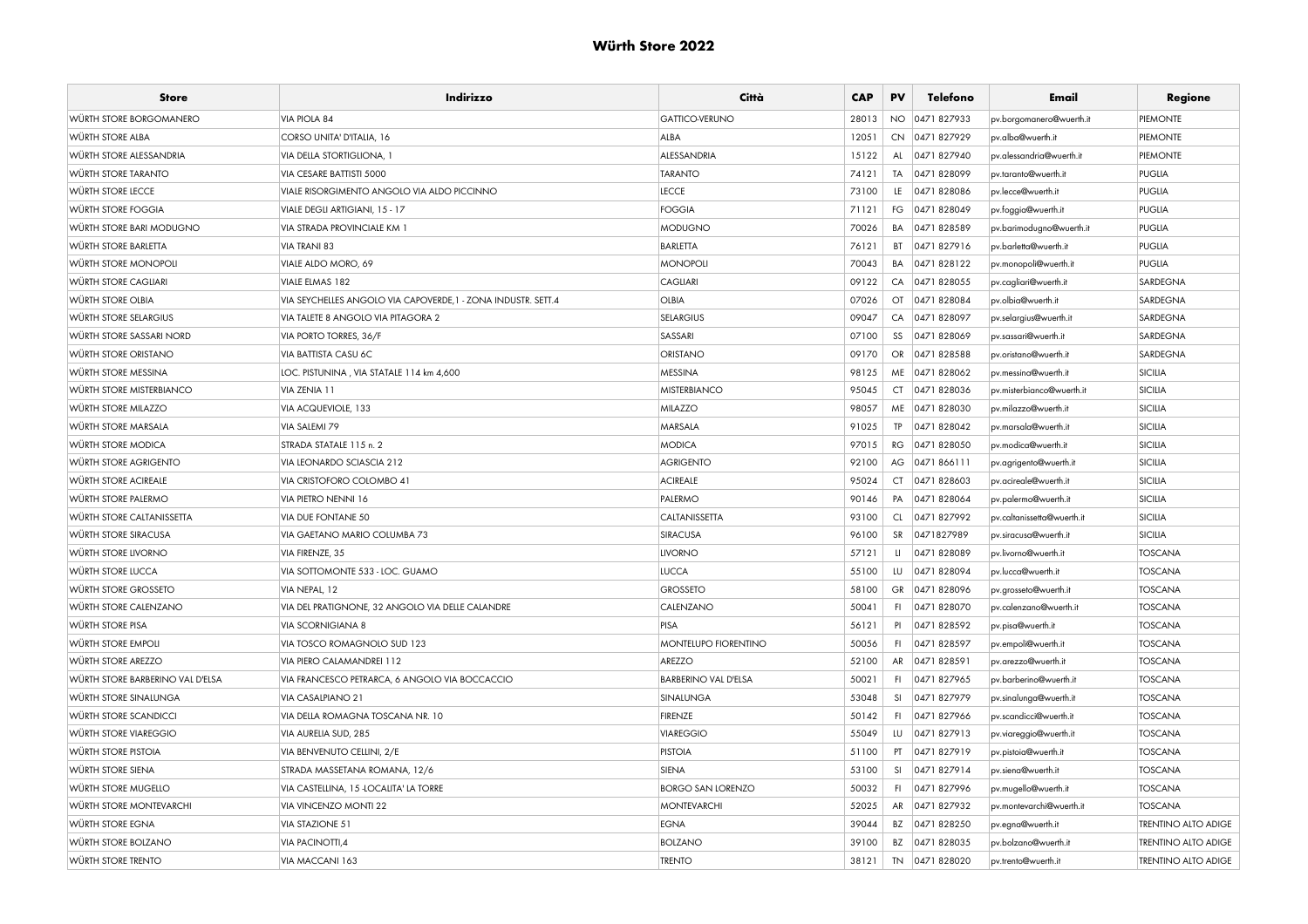| <b>Store</b>                     | Indirizzo                                                     | Città                       | <b>CAP</b> | PV        | Telefono       | Email                      | Regione                    |
|----------------------------------|---------------------------------------------------------------|-----------------------------|------------|-----------|----------------|----------------------------|----------------------------|
| WÜRTH STORE BORGOMANERO          | VIA PIOLA 84                                                  | <b>GATTICO-VERUNO</b>       | 28013      | NO.       | 0471827933     | pv.borgomanero@wuerth.it   | PIEMONTE                   |
| WÜRTH STORE ALBA                 | CORSO UNITA' D'ITALIA, 16                                     | ALBA                        | 12051      | <b>CN</b> | 0471 827929    | pv.alba@wuerth.it          | PIEMONTE                   |
| WÜRTH STORE ALESSANDRIA          | <b>VIA DELLA STORTIGLIONA, 1</b>                              | ALESSANDRIA                 | 15122      | AL        | 0471 827940    | pv.alessandria@wuerth.it   | PIEMONTE                   |
| <b>WÜRTH STORE TARANTO</b>       | VIA CESARE BATTISTI 5000                                      | <b>TARANTO</b>              | 74121      | TA        | 0471828099     | pv.taranto@wuerth.it       | PUGLIA                     |
| WÜRTH STORE LECCE                | VIALE RISORGIMENTO ANGOLO VIA ALDO PICCINNO                   | LECCE                       | 73100      | LE        | 0471828086     | by.lecce@wuerth.it         | PUGLIA                     |
| WÜRTH STORE FOGGIA               | VIALE DEGLI ARTIGIANI, 15 - 17                                | <b>FOGGIA</b>               | 71121      | FG        | 0471828049     | pv.foggia@wuerth.it        | <b>PUGLIA</b>              |
| WÜRTH STORE BARI MODUGNO         | <b>VIA STRADA PROVINCIALE KM 1</b>                            | <b>MODUGNO</b>              | 70026      | BA        | 0471828589     | pv.barimodugno@wuerth.it   | PUGLIA                     |
| <b>WÜRTH STORE BARLETTA</b>      | <b>VIA TRANI 83</b>                                           | <b>BARLETTA</b>             | 76121      | BT        | 0471827916     | pv.barletta@wuerth.it      | <b>PUGLIA</b>              |
| WÜRTH STORE MONOPOLI             | VIALE ALDO MORO, 69                                           | <b>MONOPOLI</b>             | 70043      | BA        | 0471828122     | pv.monopoli@wuerth.it      | PUGLIA                     |
| <b>WÜRTH STORE CAGLIARI</b>      | VIALE ELMAS 182                                               | <b>CAGLIARI</b>             | 09122      | CA        | 0471 828055    | pv.cagliari@wuerth.it      | SARDEGNA                   |
| <b>WÜRTH STORE OLBIA</b>         | VIA SEYCHELLES ANGOLO VIA CAPOVERDE, 1 - ZONA INDUSTR. SETT.4 | <b>OLBIA</b>                | 07026      |           | OT 0471 828084 | pv.olbia@wuerth.it         | SARDEGNA                   |
| WÜRTH STORE SELARGIUS            | VIA TALETE 8 ANGOLO VIA PITAGORA 2                            | <b>SELARGIUS</b>            | 09047      | CA        | 0471828097     | pv.selargius@wuerth.it     | SARDEGNA                   |
| WÜRTH STORE SASSARI NORD         | VIA PORTO TORRES, 36/F                                        | SASSARI                     | 07100      | SS        | 0471 828069    | pv.sassari@wuerth.it       | SARDEGNA                   |
| <b>WÜRTH STORE ORISTANO</b>      | <b>VIA BATTISTA CASU 6C</b>                                   | <b>ORISTANO</b>             | 09170      | OR        | 0471828588     | pv.oristano@wuerth.it      | SARDEGNA                   |
| WÜRTH STORE MESSINA              | LOC. PISTUNINA, VIA STATALE 114 km 4,600                      | <b>MESSINA</b>              | 98125      |           | ME 0471 828062 | pv.messina@wuerth.it       | <b>SICILIA</b>             |
| WÜRTH STORE MISTERBIANCO         | VIA ZENIA 11                                                  | <b>MISTERBIANCO</b>         | 95045      |           | CT 0471828036  | pv.misterbianco@wuerth.it  | SICILIA                    |
| WÜRTH STORE MILAZZO              | VIA ACQUEVIOLE, 133                                           | MILAZZO                     | 98057      |           | ME 0471 828030 | pv.milazzo@wuerth.it       | SICILIA                    |
| WÜRTH STORE MARSALA              | VIA SALEMI 79                                                 | MARSALA                     | 91025      | <b>TP</b> | 0471 828042    | pv.marsala@wuerth.it       | SICILIA                    |
| WÜRTH STORE MODICA               | STRADA STATALE 115 n. 2                                       | <b>MODICA</b>               | 97015      | RG        | 0471 828050    | pv.modica@wuerth.it        | SICILIA                    |
| WÜRTH STORE AGRIGENTO            | VIA LEONARDO SCIASCIA 212                                     | <b>AGRIGENTO</b>            | 92100      | AG        | 0471866111     | pv.agrigento@wuerth.it     | <b>SICILIA</b>             |
| WÜRTH STORE ACIREALE             | VIA CRISTOFORO COLOMBO 41                                     | <b>ACIREALE</b>             | 95024      | <b>CT</b> | 0471828603     | pv.acireale@wuerth.it      | SICILIA                    |
| WÜRTH STORE PALERMO              | VIA PIETRO NENNI 16                                           | PALERMO                     | 90146      | PA        | 0471828064     | pv.palermo@wuerth.it       | <b>SICILIA</b>             |
| WÜRTH STORE CALTANISSETTA        | <b>VIA DUE FONTANE 50</b>                                     | CALTANISSETTA               | 93100      | CL        | 0471 827992    | pv.caltanissetta@wuerth.it | SICILIA                    |
| WÜRTH STORE SIRACUSA             | VIA GAETANO MARIO COLUMBA 73                                  | SIRACUSA                    | 96100      | SR        | 0471827989     | pv.siracusa@wuerth.it      | <b>SICILIA</b>             |
| <b>WÜRTH STORE LIVORNO</b>       | VIA FIRENZE, 35                                               | <b>LIVORNO</b>              | 57121      | u.        | 0471828089     | pv.livorno@wuerth.it       | <b>TOSCANA</b>             |
| WÜRTH STORE LUCCA                | VIA SOTTOMONTE 533 - LOC. GUAMO                               | <b>LUCCA</b>                | 55100      | LU        | 0471 828094    | pv.lucca@wuerth.it         | <b>TOSCANA</b>             |
| WÜRTH STORE GROSSETO             | VIA NEPAL, 12                                                 | <b>GROSSETO</b>             | 58100      | <b>GR</b> | 0471828096     | pv.grosseto@wuerth.it      | <b>TOSCANA</b>             |
| WÜRTH STORE CALENZANO            | VIA DEL PRATIGNONE, 32 ANGOLO VIA DELLE CALANDRE              | CALENZANO                   | 50041      | FI.       | 0471 828070    | pv.calenzano@wuerth.it     | <b>TOSCANA</b>             |
| WÜRTH STORE PISA                 | <b>VIA SCORNIGIANA 8</b>                                      | PISA                        | 56121      | PI        | 0471828592     | pv.pisa@wuerth.it          | <b>TOSCANA</b>             |
| <b>WÜRTH STORE EMPOLI</b>        | VIA TOSCO ROMAGNOLO SUD 123                                   | MONTELUPO FIORENTINO        | 50056      | F1        | 0471 828597    | pv.empoli@wuerth.it        | <b>TOSCANA</b>             |
| WÜRTH STORE AREZZO               | VIA PIERO CALAMANDREI 112                                     | AREZZO                      | 52100      | AR        | 0471828591     | pv.arezzo@wuerth.it        | <b>TOSCANA</b>             |
| WÜRTH STORE BARBERINO VAL D'ELSA | VIA FRANCESCO PETRARCA, 6 ANGOLO VIA BOCCACCIO                | <b>BARBERINO VAL D'ELSA</b> | 50021      | F1        | 0471 827965    | pv.barberino@wuerth.it     | <b>TOSCANA</b>             |
| WÜRTH STORE SINALUNGA            | <b>VIA CASALPIANO 21</b>                                      | SINALUNGA                   | 53048      | -SI       | 0471 827979    | pv.sinalunga@wuerth.it     | <b>TOSCANA</b>             |
| WÜRTH STORE SCANDICCI            | VIA DELLA ROMAGNA TOSCANA NR. 10                              | <b>FIRENZE</b>              | 50142      | - Fl      | 0471 827966    | pv.scandicci@wuerth.it     | <b>TOSCANA</b>             |
| WÜRTH STORE VIAREGGIO            | VIA AURELIA SUD, 285                                          | <b>VIAREGGIO</b>            | 55049      | LU        | 0471827913     | pv.viareggio@wuerth.it     | <b>TOSCANA</b>             |
| <b>WÜRTH STORE PISTOIA</b>       | <b>VIA BENVENUTO CELLINI, 2/E</b>                             | <b>PISTOIA</b>              | 51100      | PT        | 0471 827919    | pv.pistoia@wuerth.it       | <b>TOSCANA</b>             |
| WÜRTH STORE SIENA                | STRADA MASSETANA ROMANA, 12/6                                 | SIENA                       | 53100      | <b>SI</b> | 0471 827914    | pv.siena@wuerth.it         | <b>TOSCANA</b>             |
| WÜRTH STORE MUGELLO              | VIA CASTELLINA, 15 -LOCALITA' LA TORRE                        | <b>BORGO SAN LORENZO</b>    | 50032      | F         | 0471 827996    | pv.mugello@wuerth.it       | <b>TOSCANA</b>             |
| WÜRTH STORE MONTEVARCHI          | <b>VIA VINCENZO MONTI 22</b>                                  | <b>MONTEVARCHI</b>          | 52025      | AR        | 0471 827932    | pv.montevarchi@wuerth.it   | <b>TOSCANA</b>             |
| WÜRTH STORE EGNA                 | <b>VIA STAZIONE 51</b>                                        | <b>EGNA</b>                 | 39044      |           | BZ 0471 828250 | pv.egna@wuerth.it          | <b>TRENTINO ALTO ADIGE</b> |
| WÜRTH STORE BOLZANO              | VIA PACINOTTI,4                                               | <b>BOLZANO</b>              | 39100      | BZ        | 0471828035     | pv.bolzano@wuerth.it       | <b>TRENTINO ALTO ADIGE</b> |
| WÜRTH STORE TRENTO               | VIA MACCANI 163                                               | <b>TRENTO</b>               | 38121      | TN        | 0471828020     | pv.trento@wuerth.it        | <b>TRENTINO ALTO ADIGE</b> |